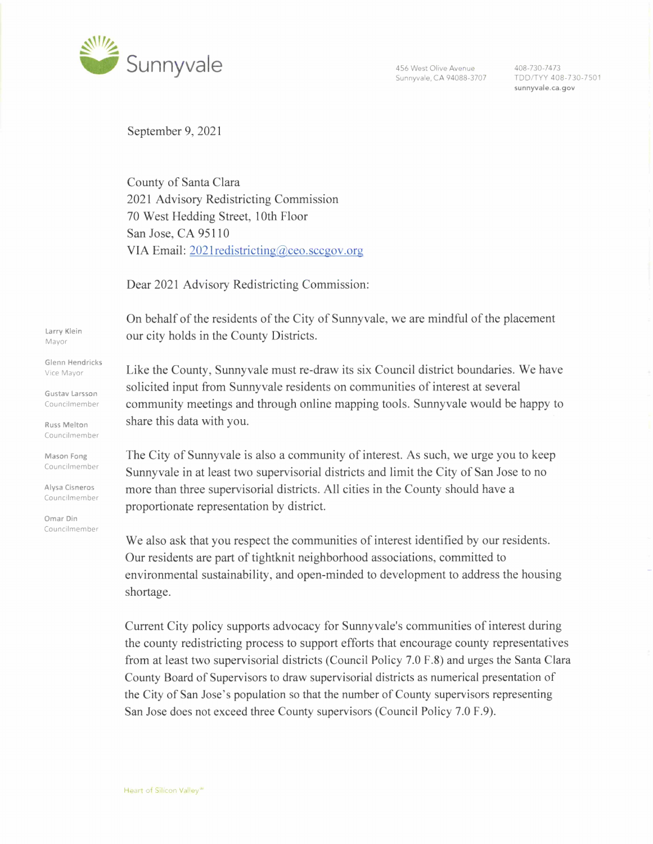

Sunnyvale, CA 94088-3707

408-730-7473 TDD/TYY 408-730-7501 **sunnyvale.ca.gov** 

September 9, 2021

County of Santa Clara 2021 Advisory Redistricting Commission 70 West Hedding Street, 10th Floor San Jose, CA 95110 VIA Email: 202 lredistricting@ceo.sccgov.org

Dear 2021 Advisory Redistricting Commission:

On behalf of the residents of the City of Sunnyvale, we are mindful of the placement our city holds in the County Districts.

Like the County, Sunnyvale must re-draw its six Council district boundaries. We have solicited input from Sunnyvale residents on communities of interest at several community meetings and through online mapping tools. Sunnyvale would be happy to share this data with you.

The City of Sunnyvale is also a community of interest. As such, we urge you to keep Sunnyvale in at least two supervisorial districts and limit the City of San Jose to no more than three supervisorial districts. All cities in the County should have a proportionate representation by district.

We also ask that you respect the communities of interest identified by our residents. Our residents are part of tightknit neighborhood associations, committed to environmental sustainability, and open-minded to development to address the housing shortage.

Current City policy supports advocacy for Sunnyvale's communities of interest during the county redistricting process to support efforts that encourage county representatives from at least two supervisorial districts (Council Policy 7.0 F.8) and urges the Santa Clara County Board of Supervisors to draw supervisorial districts as numerical presentation of the City of San Jose's population so that the number of County supervisors representing San Jose does not exceed three County supervisors (Council Policy 7.0 F.9).

**Larry Klein**  Mayor

**Glenn Hendricks**  Vice Mayor

**Gustav Larsson**  Councilmember

**Russ Melton**  Councilmember

**Mason Fong**  Councilmember

**Alysa Cisneros**  Councilmember

**Omar Din**  Councilmember